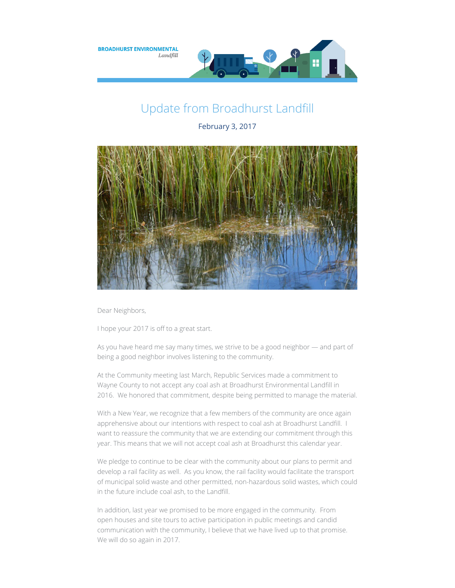

## Update from Broadhurst Landfill

February 3, 2017



Dear Neighbors,

I hope your 2017 is off to a great start.

As you have heard me say many times, we strive to be a good neighbor — and part of being a good neighbor involves listening to the community.

At the Community meeting last March, Republic Services made a commitment to Wayne County to not accept any coal ash at Broadhurst Environmental Landfill in 2016. We honored that commitment, despite being permitted to manage the material.

With a New Year, we recognize that a few members of the community are once again apprehensive about our intentions with respect to coal ash at Broadhurst Landfill. I want to reassure the community that we are extending our commitment through this year. This means that we will not accept coal ash at Broadhurst this calendar year.

We pledge to continue to be clear with the community about our plans to permit and develop a rail facility as well. As you know, the rail facility would facilitate the transport of municipal solid waste and other permitted, non-hazardous solid wastes, which could in the future include coal ash, to the Landfill.

In addition, last year we promised to be more engaged in the community. From open houses and site tours to active participation in public meetings and candid communication with the community, I believe that we have lived up to that promise. We will do so again in 2017.